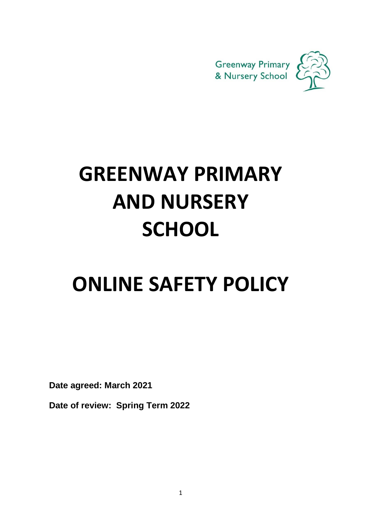

# **GREENWAY PRIMARY AND NURSERY SCHOOL**

# **ONLINE SAFETY POLICY**

 **Date agreed: March 2021**

 **Date of review: Spring Term 2022**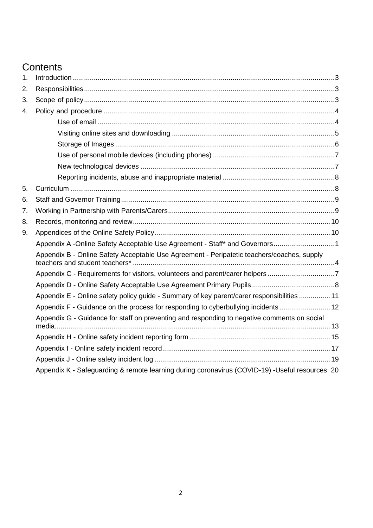# **Contents**

| 1. |                                                                                                |  |
|----|------------------------------------------------------------------------------------------------|--|
| 2. |                                                                                                |  |
| 3. |                                                                                                |  |
| 4. |                                                                                                |  |
|    |                                                                                                |  |
|    |                                                                                                |  |
|    |                                                                                                |  |
|    |                                                                                                |  |
|    |                                                                                                |  |
|    |                                                                                                |  |
| 5. |                                                                                                |  |
| 6. |                                                                                                |  |
| 7. |                                                                                                |  |
| 8. |                                                                                                |  |
| 9. |                                                                                                |  |
|    | Appendix A -Online Safety Acceptable Use Agreement - Staff* and Governors1                     |  |
|    | Appendix B - Online Safety Acceptable Use Agreement - Peripatetic teachers/coaches, supply     |  |
|    | Appendix C - Requirements for visitors, volunteers and parent/carer helpers 7                  |  |
|    |                                                                                                |  |
|    | Appendix E - Online safety policy guide - Summary of key parent/carer responsibilities  11     |  |
|    | Appendix F - Guidance on the process for responding to cyberbullying incidents  12             |  |
|    | Appendix G - Guidance for staff on preventing and responding to negative comments on social    |  |
|    |                                                                                                |  |
|    |                                                                                                |  |
|    |                                                                                                |  |
|    | Appendix K - Safeguarding & remote learning during coronavirus (COVID-19) -Useful resources 20 |  |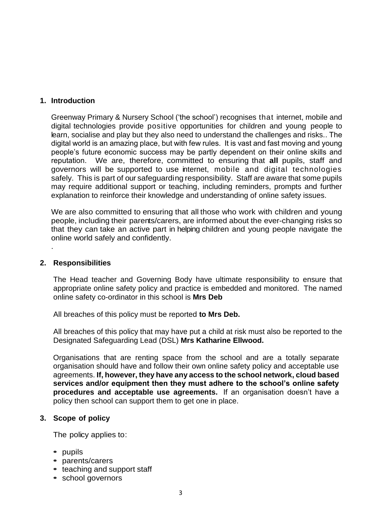### <span id="page-2-0"></span>**1. Introduction**

Greenway Primary & Nursery School ('the school') recognises that internet, mobile and digital technologies provide positive opportunities for children and young people to learn, socialise and play but they also need to understand the challenges and risks.. The digital world is an amazing place, but with few rules. It is vast and fast moving and young people's future economic success may be partly dependent on their online skills and reputation. We are, therefore, committed to ensuring that **all** pupils, staff and governors will be supported to use internet, mobile and digital technologies safely. This is part of our safeguarding responsibility. Staff are aware that some pupils may require additional support or teaching, including reminders, prompts and further explanation to reinforce their knowledge and understanding of online safety issues.

We are also committed to ensuring that all those who work with children and young people, including their parents/carers, are informed about the ever-changing risks so that they can take an active part in helping children and young people navigate the online world safely and confidently.

#### <span id="page-2-1"></span>**2. Responsibilities**

.

The Head teacher and Governing Body have ultimate responsibility to ensure that appropriate online safety policy and practice is embedded and monitored. The named online safety co-ordinator in this school is **Mrs Deb**

All breaches of this policy must be reported **to Mrs Deb.**

All breaches of this policy that may have put a child at risk must also be reported to the Designated Safeguarding Lead (DSL) **Mrs Katharine Ellwood.**

Organisations that are renting space from the school and are a totally separate organisation should have and follow their own online safety policy and acceptable use agreements. **If, however, they have any access to the school network, cloud based services and/or equipment then they must adhere to the school's online safety procedures and acceptable use agreements.** If an organisation doesn't have a policy then school can support them to get one in place.

#### <span id="page-2-2"></span>**3. Scope of policy**

The policy applies to:

- **•** pupils
- **•** parents/carers
- **•** teaching and support staff
- **•** school governors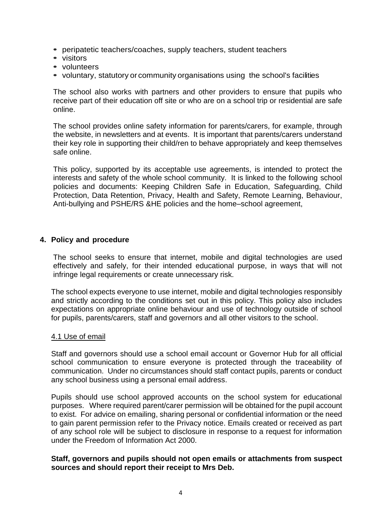- **•** peripatetic teachers/coaches, supply teachers, student teachers
- **•** visitors
- **•** volunteers
- **•** voluntary, statutory or community organisations using the school's facilities

The school also works with partners and other providers to ensure that pupils who receive part of their education off site or who are on a school trip or residential are safe online.

The school provides online safety information for parents/carers, for example, through the website, in newsletters and at events. It is important that parents/carers understand their key role in supporting their child/ren to behave appropriately and keep themselves safe online.

This policy, supported by its acceptable use agreements, is intended to protect the interests and safety of the whole school community. It is linked to the following school policies and documents: Keeping Children Safe in Education, Safeguarding, Child Protection, Data Retention, Privacy, Health and Safety, Remote Learning, Behaviour, Anti-bullying and PSHE/RS &HE policies and the home–school agreement,

#### <span id="page-3-0"></span>**4. Policy and procedure**

The school seeks to ensure that internet, mobile and digital technologies are used effectively and safely, for their intended educational purpose, in ways that will not infringe legal requirements or create unnecessary risk.

The school expects everyone to use internet, mobile and digital technologies responsibly and strictly according to the conditions set out in this policy. This policy also includes expectations on appropriate online behaviour and use of technology outside of school for pupils, parents/carers, staff and governors and all other visitors to the school.

#### <span id="page-3-1"></span>4.1 Use of email

Staff and governors should use a school email account or Governor Hub for all official school communication to ensure everyone is protected through the traceability of communication. Under no circumstances should staff contact pupils, parents or conduct any school business using a personal email address.

Pupils should use school approved accounts on the school system for educational purposes. Where required parent/carer permission will be obtained for the pupil account to exist. For advice on emailing, sharing personal or confidential information or the need to gain parent permission refer to the Privacy notice. Emails created or received as part of any school role will be subject to disclosure in response to a request for information under the Freedom of Information Act 2000.

# **Staff, governors and pupils should not open emails or attachments from suspect sources and should report their receipt to Mrs Deb.**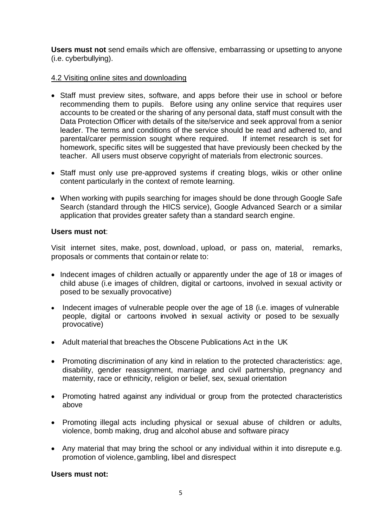**Users must not** send emails which are offensive, embarrassing or upsetting to anyone (i.e. cyberbullying).

# <span id="page-4-0"></span>4.2 Visiting online sites and downloading

- Staff must preview sites, software, and apps before their use in school or before recommending them to pupils. Before using any online service that requires user accounts to be created or the sharing of any personal data, staff must consult with the Data Protection Officer with details of the site/service and seek approval from a senior leader. The terms and conditions of the service should be read and adhered to, and parental/carer permission sought where required. If internet research is set for homework, specific sites will be suggested that have previously been checked by the teacher. All users must observe copyright of materials from electronic sources.
- Staff must only use pre-approved systems if creating blogs, wikis or other online content particularly in the context of remote learning.
- When working with pupils searching for images should be done through Google Safe Search (standard through the HICS service), Google Advanced Search or a similar application that provides greater safety than a standard search engine.

# **Users must not**:

Visit internet sites, make, post, download, upload, or pass on, material, remarks, proposals or comments that contain or relate to:

- Indecent images of children actually or apparently under the age of 18 or images of child abuse (i.e images of children, digital or cartoons, involved in sexual activity or posed to be sexually provocative)
- Indecent images of vulnerable people over the age of 18 (i.e. images of vulnerable people, digital or cartoons involved in sexual activity or posed to be sexually provocative)
- Adult material that breaches the Obscene Publications Act in the UK
- Promoting discrimination of any kind in relation to the protected characteristics: age, disability, gender reassignment, marriage and civil partnership, pregnancy and maternity, race or ethnicity, religion or belief, sex, sexual orientation
- Promoting hatred against any individual or group from the protected characteristics above
- Promoting illegal acts including physical or sexual abuse of children or adults, violence, bomb making, drug and alcohol abuse and software piracy
- Any material that may bring the school or any individual within it into disrepute e.g. promotion of violence, gambling, libel and disrespect

# **Users must not:**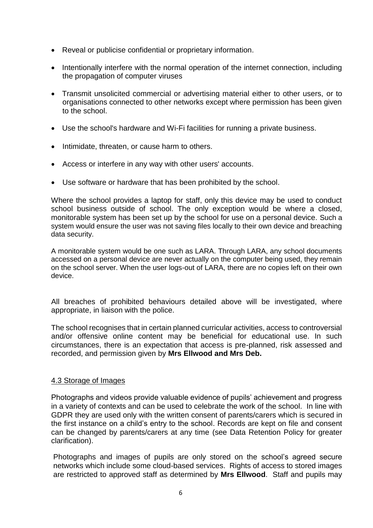- Reveal or publicise confidential or proprietary information.
- Intentionally interfere with the normal operation of the internet connection, including the propagation of computer viruses
- Transmit unsolicited commercial or advertising material either to other users, or to organisations connected to other networks except where permission has been given to the school.
- Use the school's hardware and Wi-Fi facilities for running a private business.
- Intimidate, threaten, or cause harm to others.
- Access or interfere in any way with other users' accounts.
- Use software or hardware that has been prohibited by the school.

Where the school provides a laptop for staff, only this device may be used to conduct school business outside of school. The only exception would be where a closed, monitorable system has been set up by the school for use on a personal device. Such a system would ensure the user was not saving files locally to their own device and breaching data security.

A monitorable system would be one such as LARA. Through LARA, any school documents accessed on a personal device are never actually on the computer being used, they remain on the school server. When the user logs-out of LARA, there are no copies left on their own device.

All breaches of prohibited behaviours detailed above will be investigated, where appropriate, in liaison with the police.

The school recognises that in certain planned curricular activities, access to controversial and/or offensive online content may be beneficial for educational use. In such circumstances, there is an expectation that access is pre-planned, risk assessed and recorded, and permission given by **Mrs Ellwood and Mrs Deb.** 

# <span id="page-5-0"></span>4.3 Storage of Images

Photographs and videos provide valuable evidence of pupils' achievement and progress in a variety of contexts and can be used to celebrate the work of the school. In line with GDPR they are used only with the written consent of parents/carers which is secured in the first instance on a child's entry to the school. Records are kept on file and consent can be changed by parents/carers at any time (see Data Retention Policy for greater clarification).

Photographs and images of pupils are only stored on the school's agreed secure networks which include some cloud-based services. Rights of access to stored images are restricted to approved staff as determined by **Mrs Ellwood**. Staff and pupils may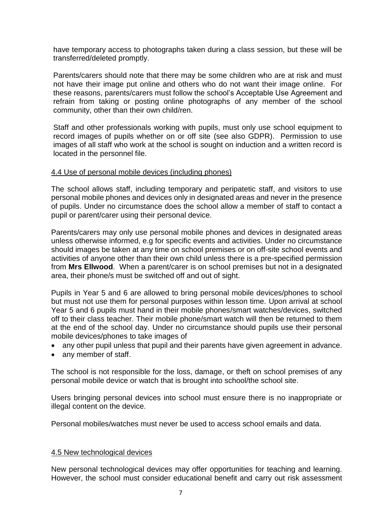have temporary access to photographs taken during a class session, but these will be transferred/deleted promptly.

Parents/carers should note that there may be some children who are at risk and must not have their image put online and others who do not want their image online. For these reasons, parents/carers must follow the school's Acceptable Use Agreement and refrain from taking or posting online photographs of any member of the school community, other than their own child/ren.

Staff and other professionals working with pupils, must only use school equipment to record images of pupils whether on or off site (see also GDPR). Permission to use images of all staff who work at the school is sought on induction and a written record is located in the personnel file.

#### <span id="page-6-0"></span>4.4 Use of personal mobile devices (including phones)

The school allows staff, including temporary and peripatetic staff, and visitors to use personal mobile phones and devices only in designated areas and never in the presence of pupils. Under no circumstance does the school allow a member of staff to contact a pupil or parent/carer using their personal device.

Parents/carers may only use personal mobile phones and devices in designated areas unless otherwise informed, e.g for specific events and activities. Under no circumstance should images be taken at any time on school premises or on off-site school events and activities of anyone other than their own child unless there is a pre-specified permission from **Mrs Ellwood**. When a parent/carer is on school premises but not in a designated area, their phone/s must be switched off and out of sight.

Pupils in Year 5 and 6 are allowed to bring personal mobile devices/phones to school but must not use them for personal purposes within lesson time. Upon arrival at school Year 5 and 6 pupils must hand in their mobile phones/smart watches/devices, switched off to their class teacher. Their mobile phone/smart watch will then be returned to them at the end of the school day. Under no circumstance should pupils use their personal mobile devices/phones to take images of

- any other pupil unless that pupil and their parents have given agreement in advance.
- any member of staff.

The school is not responsible for the loss, damage, or theft on school premises of any personal mobile device or watch that is brought into school/the school site.

Users bringing personal devices into school must ensure there is no inappropriate or illegal content on the device.

Personal mobiles/watches must never be used to access school emails and data.

#### <span id="page-6-1"></span>4.5 New technological devices

New personal technological devices may offer opportunities for teaching and learning. However, the school must consider educational benefit and carry out risk assessment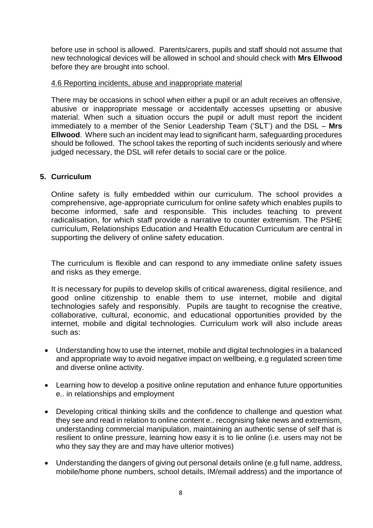before use in school is allowed. Parents/carers, pupils and staff should not assume that new technological devices will be allowed in school and should check with **Mrs Ellwood** before they are brought into school.

# <span id="page-7-0"></span>4.6 Reporting incidents, abuse and inappropriate material

There may be occasions in school when either a pupil or an adult receives an offensive, abusive or inappropriate message or accidentally accesses upsetting or abusive material. When such a situation occurs the pupil or adult must report the incident immediately to a member of the Senior Leadership Team ('SLT') and the DSL – **Mrs Ellwood**. Where such an incident may lead to significant harm, safeguarding procedures should be followed. The school takes the reporting of such incidents seriously and where judged necessary, the DSL will refer details to social care or the police.

# <span id="page-7-1"></span>**5. Curriculum**

Online safety is fully embedded within our curriculum. The school provides a comprehensive, age-appropriate curriculum for online safety which enables pupils to become informed, safe and responsible. This includes teaching to prevent radicalisation, for which staff provide a narrative to counter extremism. The PSHE curriculum, Relationships Education and Health Education Curriculum are central in supporting the delivery of online safety education.

The curriculum is flexible and can respond to any immediate online safety issues and risks as they emerge.

It is necessary for pupils to develop skills of critical awareness, digital resilience, and good online citizenship to enable them to use internet, mobile and digital technologies safely and responsibly. Pupils are taught to recognise the creative, collaborative, cultural, economic, and educational opportunities provided by the internet, mobile and digital technologies. Curriculum work will also include areas such as:

- Understanding how to use the internet, mobile and digital technologies in a balanced and appropriate way to avoid negative impact on wellbeing, e.g regulated screen time and diverse online activity.
- Learning how to develop a positive online reputation and enhance future opportunities e.. in relationships and employment
- Developing critical thinking skills and the confidence to challenge and question what they see and read in relation to online content e.. recognising fake news and extremism, understanding commercial manipulation, maintaining an authentic sense of self that is resilient to online pressure, learning how easy it is to lie online (i.e. users may not be who they say they are and may have ulterior motives)
- Understanding the dangers of giving out personal details online (e.g full name, address, mobile/home phone numbers, school details, IM/email address) and the importance of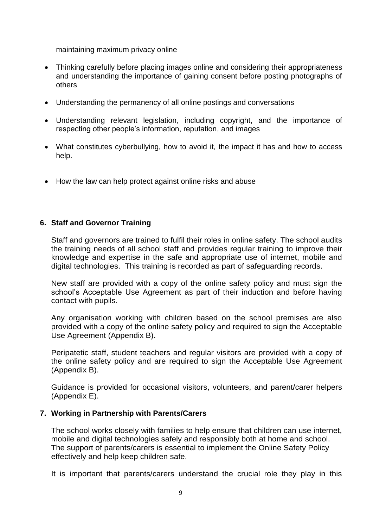maintaining maximum privacy online

- Thinking carefully before placing images online and considering their appropriateness and understanding the importance of gaining consent before posting photographs of others
- Understanding the permanency of all online postings and conversations
- Understanding relevant legislation, including copyright, and the importance of respecting other people's information, reputation, and images
- What constitutes cyberbullying, how to avoid it, the impact it has and how to access help.
- How the law can help protect against online risks and abuse

# <span id="page-8-0"></span>**6. Staff and Governor Training**

Staff and governors are trained to fulfil their roles in online safety. The school audits the training needs of all school staff and provides regular training to improve their knowledge and expertise in the safe and appropriate use of internet, mobile and digital technologies. This training is recorded as part of safeguarding records.

New staff are provided with a copy of the online safety policy and must sign the school's Acceptable Use Agreement as part of their induction and before having contact with pupils.

Any organisation working with children based on the school premises are also provided with a copy of the online safety policy and required to sign the Acceptable Use Agreement (Appendix B).

Peripatetic staff, student teachers and regular visitors are provided with a copy of the online safety policy and are required to sign the Acceptable Use Agreement (Appendix B).

<span id="page-8-1"></span>Guidance is provided for occasional visitors, volunteers, and parent/carer helpers (Appendix E).

# **7. Working in Partnership with Parents/Carers**

The school works closely with families to help ensure that children can use internet, mobile and digital technologies safely and responsibly both at home and school. The support of parents/carers is essential to implement the Online Safety Policy effectively and help keep children safe.

It is important that parents/carers understand the crucial role they play in this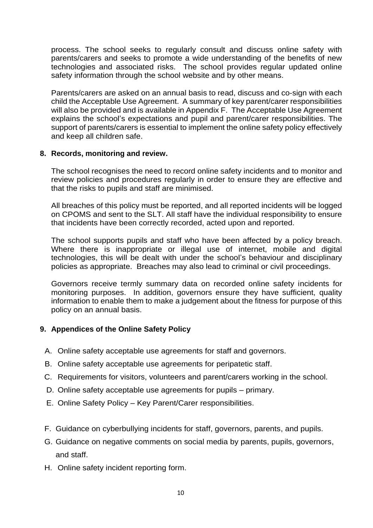process. The school seeks to regularly consult and discuss online safety with parents/carers and seeks to promote a wide understanding of the benefits of new technologies and associated risks. The school provides regular updated online safety information through the school website and by other means.

Parents/carers are asked on an annual basis to read, discuss and co-sign with each child the Acceptable Use Agreement. A summary of key parent/carer responsibilities will also be provided and is available in Appendix F. The Acceptable Use Agreement explains the school's expectations and pupil and parent/carer responsibilities. The support of parents/carers is essential to implement the online safety policy effectively and keep all children safe.

# <span id="page-9-0"></span>**8. Records, monitoring and review.**

The school recognises the need to record online safety incidents and to monitor and review policies and procedures regularly in order to ensure they are effective and that the risks to pupils and staff are minimised.

All breaches of this policy must be reported, and all reported incidents will be logged on CPOMS and sent to the SLT. All staff have the individual responsibility to ensure that incidents have been correctly recorded, acted upon and reported.

The school supports pupils and staff who have been affected by a policy breach. Where there is inappropriate or illegal use of internet, mobile and digital technologies, this will be dealt with under the school's behaviour and disciplinary policies as appropriate. Breaches may also lead to criminal or civil proceedings.

Governors receive termly summary data on recorded online safety incidents for monitoring purposes. In addition, governors ensure they have sufficient, quality information to enable them to make a judgement about the fitness for purpose of this policy on an annual basis.

# <span id="page-9-1"></span>**9. Appendices of the Online Safety Policy**

- A. Online safety acceptable use agreements for staff and governors.
- B. Online safety acceptable use agreements for peripatetic staff.
- C. Requirements for visitors, volunteers and parent/carers working in the school.
- D. Online safety acceptable use agreements for pupils primary.
- E. Online Safety Policy Key Parent/Carer responsibilities.
- F. Guidance on cyberbullying incidents for staff, governors, parents, and pupils.
- G. Guidance on negative comments on social media by parents, pupils, governors, and staff.
- H. Online safety incident reporting form.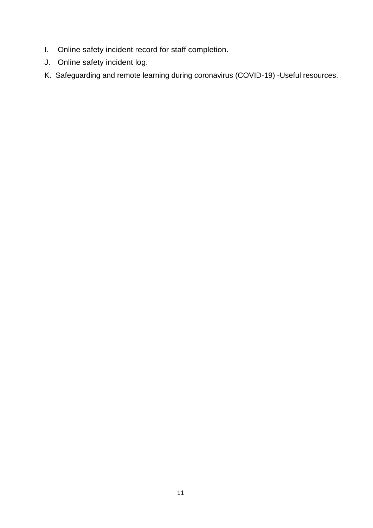- I. Online safety incident record for staff completion.
- J. Online safety incident log.
- K. Safeguarding and remote learning during coronavirus (COVID-19) -Useful resources.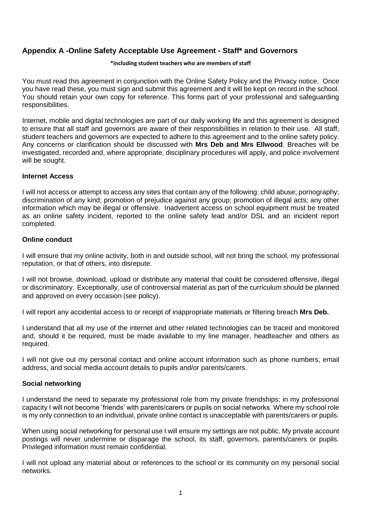# <span id="page-11-0"></span>**Appendix A -Online Safety Acceptable Use Agreement - Staff\* and Governors**

#### **\*including student teachers who are members of staff**

You must read this agreement in conjunction with the Online Safety Policy and the Privacy notice. Once you have read these, you must sign and submit this agreement and it will be kept on record in the school. You should retain your own copy for reference. This forms part of your professional and safeguarding responsibilities.

Internet, mobile and digital technologies are part of our daily working life and this agreement is designed to ensure that all staff and governors are aware of their responsibilities in relation to their use. All staff, student teachers and governors are expected to adhere to this agreement and to the online safety policy. Any concerns or clarification should be discussed with **Mrs Deb and Mrs Ellwood**. Breaches will be investigated, recorded and, where appropriate, disciplinary procedures will apply, and police involvement will be sought.

#### **Internet Access**

I will not access or attempt to access any sites that contain any of the following: child abuse; pornography; discrimination of any kind; promotion of prejudice against any group; promotion of illegal acts; any other information which may be illegal or offensive. Inadvertent access on school equipment must be treated as an online safety incident, reported to the online safety lead and/or DSL and an incident report completed.

#### **Online conduct**

I will ensure that my online activity, both in and outside school, will not bring the school, my professional reputation, or that of others, into disrepute.

I will not browse, download, upload or distribute any material that could be considered offensive, illegal or discriminatory. Exceptionally, use of controversial material as part of the curriculum should be planned and approved on every occasion (see policy).

I will report any accidental access to or receipt of inappropriate materials or filtering breach **Mrs Deb.**

I understand that all my use of the internet and other related technologies can be traced and monitored and, should it be required, must be made available to my line manager, headteacher and others as required.

I will not give out my personal contact and online account information such as phone numbers, email address, and social media account details to pupils and/or parents/carers.

#### **Social networking**

I understand the need to separate my professional role from my private friendships; in my professional capacity I will not become 'friends' with parents/carers or pupils on social networks. Where my school role is my only connection to an individual, private online contact is unacceptable with parents/carers or pupils.

When using social networking for personal use I will ensure my settings are not public. My private account postings will never undermine or disparage the school, its staff, governors, parents/carers or pupils. Privileged information must remain confidential.

I will not upload any material about or references to the school or its community on my personal social networks.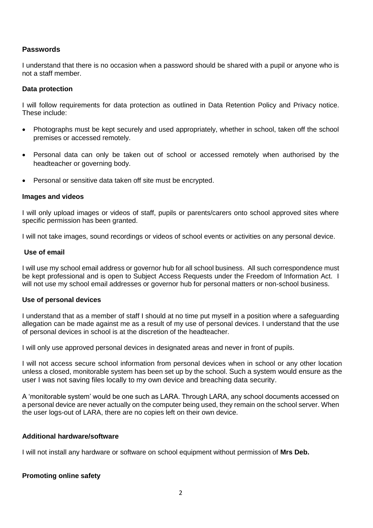#### **Passwords**

I understand that there is no occasion when a password should be shared with a pupil or anyone who is not a staff member.

#### **Data protection**

I will follow requirements for data protection as outlined in Data Retention Policy and Privacy notice. These include:

- Photographs must be kept securely and used appropriately, whether in school, taken off the school premises or accessed remotely.
- Personal data can only be taken out of school or accessed remotely when authorised by the headteacher or governing body.
- Personal or sensitive data taken off site must be encrypted.

#### **Images and videos**

I will only upload images or videos of staff, pupils or parents/carers onto school approved sites where specific permission has been granted.

I will not take images, sound recordings or videos of school events or activities on any personal device.

#### **Use of email**

I will use my school email address or governor hub for all school business. All such correspondence must be kept professional and is open to Subject Access Requests under the Freedom of Information Act. I will not use my school email addresses or governor hub for personal matters or non-school business.

#### **Use of personal devices**

I understand that as a member of staff I should at no time put myself in a position where a safeguarding allegation can be made against me as a result of my use of personal devices. I understand that the use of personal devices in school is at the discretion of the headteacher.

I will only use approved personal devices in designated areas and never in front of pupils.

I will not access secure school information from personal devices when in school or any other location unless a closed, monitorable system has been set up by the school. Such a system would ensure as the user I was not saving files locally to my own device and breaching data security.

A 'monitorable system' would be one such as LARA. Through LARA, any school documents accessed on a personal device are never actually on the computer being used, they remain on the school server. When the user logs-out of LARA, there are no copies left on their own device.

#### **Additional hardware/software**

I will not install any hardware or software on school equipment without permission of **Mrs Deb.**

#### **Promoting online safety**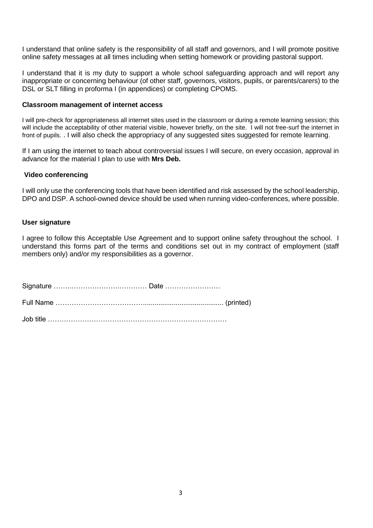I understand that online safety is the responsibility of all staff and governors, and I will promote positive online safety messages at all times including when setting homework or providing pastoral support.

I understand that it is my duty to support a whole school safeguarding approach and will report any inappropriate or concerning behaviour (of other staff, governors, visitors, pupils, or parents/carers) to the DSL or SLT filling in proforma I (in appendices) or completing CPOMS.

#### **Classroom management of internet access**

I will pre-check for appropriateness all internet sites used in the classroom or during a remote learning session; this will include the acceptability of other material visible, however briefly, on the site. I will not free-surf the internet in front of pupils. . I will also check the appropriacy of any suggested sites suggested for remote learning.

If I am using the internet to teach about controversial issues I will secure, on every occasion, approval in advance for the material I plan to use with **Mrs Deb.**

#### **Video conferencing**

I will only use the conferencing tools that have been identified and risk assessed by the school leadership, DPO and DSP. A school-owned device should be used when running video-conferences, where possible.

#### **User signature**

I agree to follow this Acceptable Use Agreement and to support online safety throughout the school. I understand this forms part of the terms and conditions set out in my contract of employment (staff members only) and/or my responsibilities as a governor.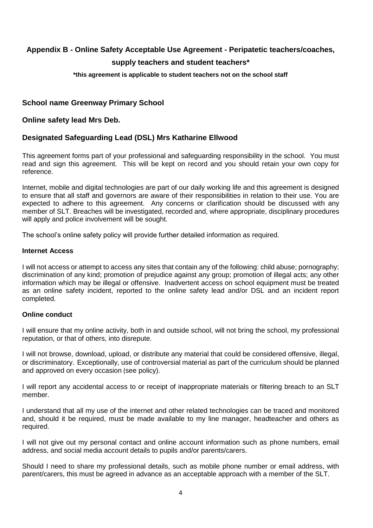# <span id="page-14-0"></span>**Appendix B - Online Safety Acceptable Use Agreement - Peripatetic teachers/coaches, supply teachers and student teachers\***

#### **\*this agreement is applicable to student teachers not on the school staff**

# **School name Greenway Primary School**

#### **Online safety lead Mrs Deb.**

# **Designated Safeguarding Lead (DSL) Mrs Katharine Ellwood**

This agreement forms part of your professional and safeguarding responsibility in the school. You must read and sign this agreement. This will be kept on record and you should retain your own copy for reference.

Internet, mobile and digital technologies are part of our daily working life and this agreement is designed to ensure that all staff and governors are aware of their responsibilities in relation to their use. You are expected to adhere to this agreement. Any concerns or clarification should be discussed with any member of SLT. Breaches will be investigated, recorded and, where appropriate, disciplinary procedures will apply and police involvement will be sought.

The school's online safety policy will provide further detailed information as required.

#### **Internet Access**

I will not access or attempt to access any sites that contain any of the following: child abuse; pornography; discrimination of any kind; promotion of prejudice against any group; promotion of illegal acts; any other information which may be illegal or offensive. Inadvertent access on school equipment must be treated as an online safety incident, reported to the online safety lead and/or DSL and an incident report completed.

#### **Online conduct**

I will ensure that my online activity, both in and outside school, will not bring the school, my professional reputation, or that of others, into disrepute.

I will not browse, download, upload, or distribute any material that could be considered offensive, illegal, or discriminatory. Exceptionally, use of controversial material as part of the curriculum should be planned and approved on every occasion (see policy).

I will report any accidental access to or receipt of inappropriate materials or filtering breach to an SLT member.

I understand that all my use of the internet and other related technologies can be traced and monitored and, should it be required, must be made available to my line manager, headteacher and others as required.

I will not give out my personal contact and online account information such as phone numbers, email address, and social media account details to pupils and/or parents/carers.

Should I need to share my professional details, such as mobile phone number or email address, with parent/carers, this must be agreed in advance as an acceptable approach with a member of the SLT.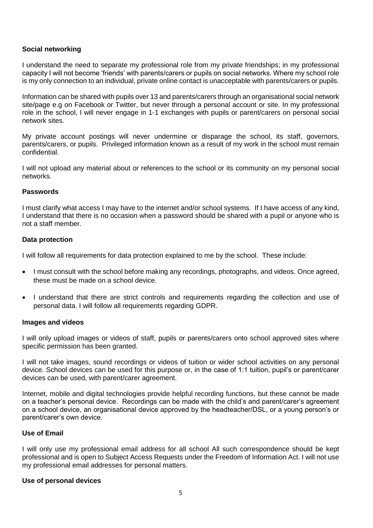#### **Social networking**

I understand the need to separate my professional role from my private friendships; in my professional capacity I will not become 'friends' with parents/carers or pupils on social networks. Where my school role is my only connection to an individual, private online contact is unacceptable with parents/carers or pupils.

Information can be shared with pupils over 13 and parents/carers through an organisational social network site/page e.g on Facebook or Twitter, but never through a personal account or site. In my professional role in the school, I will never engage in 1-1 exchanges with pupils or parent/carers on personal social network sites.

My private account postings will never undermine or disparage the school, its staff, governors, parents/carers, or pupils. Privileged information known as a result of my work in the school must remain confidential.

I will not upload any material about or references to the school or its community on my personal social networks.

#### **Passwords**

I must clarify what access I may have to the internet and/or school systems. If I have access of any kind, I understand that there is no occasion when a password should be shared with a pupil or anyone who is not a staff member.

#### **Data protection**

I will follow all requirements for data protection explained to me by the school. These include:

- I must consult with the school before making any recordings, photographs, and videos. Once agreed, these must be made on a school device.
- I understand that there are strict controls and requirements regarding the collection and use of personal data. I will follow all requirements regarding GDPR.

#### **Images and videos**

I will only upload images or videos of staff, pupils or parents/carers onto school approved sites where specific permission has been granted.

I will not take images, sound recordings or videos of tuition or wider school activities on any personal device. School devices can be used for this purpose or, in the case of 1:1 tuition, pupil's or parent/carer devices can be used, with parent/carer agreement.

Internet, mobile and digital technologies provide helpful recording functions, but these cannot be made on a teacher's personal device. Recordings can be made with the child's and parent/carer's agreement on a school device, an organisational device approved by the headteacher/DSL, or a young person's or parent/carer's own device.

#### **Use of Email**

I will only use my professional email address for all school All such correspondence should be kept professional and is open to Subject Access Requests under the Freedom of Information Act. I will not use my professional email addresses for personal matters.

#### **Use of personal devices**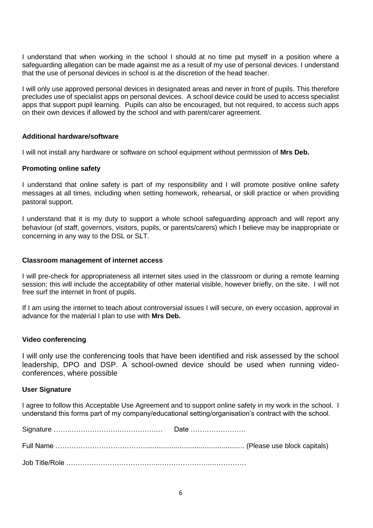I understand that when working in the school I should at no time put myself in a position where a safeguarding allegation can be made against me as a result of my use of personal devices. I understand that the use of personal devices in school is at the discretion of the head teacher.

I will only use approved personal devices in designated areas and never in front of pupils. This therefore precludes use of specialist apps on personal devices. A school device could be used to access specialist apps that support pupil learning. Pupils can also be encouraged, but not required, to access such apps on their own devices if allowed by the school and with parent/carer agreement.

#### **Additional hardware/software**

I will not install any hardware or software on school equipment without permission of **Mrs Deb.**

#### **Promoting online safety**

I understand that online safety is part of my responsibility and I will promote positive online safety messages at all times, including when setting homework, rehearsal, or skill practice or when providing pastoral support.

I understand that it is my duty to support a whole school safeguarding approach and will report any behaviour (of staff, governors, visitors, pupils, or parents/carers) which I believe may be inappropriate or concerning in any way to the DSL or SLT.

#### **Classroom management of internet access**

I will pre-check for appropriateness all internet sites used in the classroom or during a remote learning session; this will include the acceptability of other material visible, however briefly, on the site. I will not free surf the internet in front of pupils.

If I am using the internet to teach about controversial issues I will secure, on every occasion, approval in advance for the material I plan to use with **Mrs Deb.**

#### **Video conferencing**

I will only use the conferencing tools that have been identified and risk assessed by the school leadership, DPO and DSP. A school-owned device should be used when running videoconferences, where possible

#### **User Signature**

I agree to follow this Acceptable Use Agreement and to support online safety in my work in the school. I understand this forms part of my company/educational setting/organisation's contract with the school.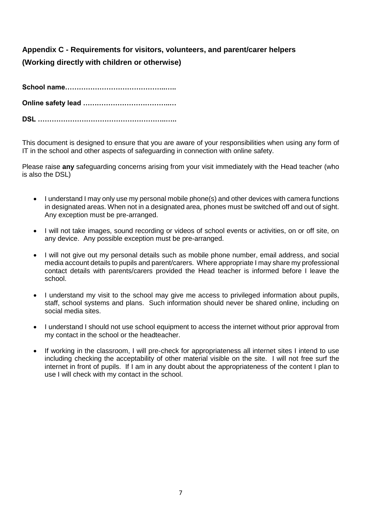# <span id="page-17-0"></span>**Appendix C - Requirements for visitors, volunteers, and parent/carer helpers (Working directly with children or otherwise)**

This document is designed to ensure that you are aware of your responsibilities when using any form of IT in the school and other aspects of safeguarding in connection with online safety.

Please raise **any** safeguarding concerns arising from your visit immediately with the Head teacher (who is also the DSL)

- I understand I may only use my personal mobile phone(s) and other devices with camera functions in designated areas. When not in a designated area, phones must be switched off and out of sight. Any exception must be pre-arranged.
- I will not take images, sound recording or videos of school events or activities, on or off site, on any device. Any possible exception must be pre-arranged.
- I will not give out my personal details such as mobile phone number, email address, and social media account details to pupils and parent/carers. Where appropriate I may share my professional contact details with parents/carers provided the Head teacher is informed before I leave the school.
- I understand my visit to the school may give me access to privileged information about pupils, staff, school systems and plans. Such information should never be shared online, including on social media sites.
- I understand I should not use school equipment to access the internet without prior approval from my contact in the school or the headteacher.
- If working in the classroom, I will pre-check for appropriateness all internet sites I intend to use including checking the acceptability of other material visible on the site. I will not free surf the internet in front of pupils. If I am in any doubt about the appropriateness of the content I plan to use I will check with my contact in the school.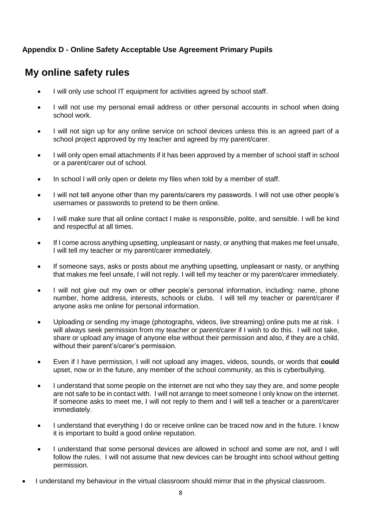# <span id="page-18-0"></span>**Appendix D - Online Safety Acceptable Use Agreement Primary Pupils**

# **My online safety rules**

- I will only use school IT equipment for activities agreed by school staff.
- I will not use my personal email address or other personal accounts in school when doing school work.
- I will not sign up for any online service on school devices unless this is an agreed part of a school project approved by my teacher and agreed by my parent/carer.
- I will only open email attachments if it has been approved by a member of school staff in school or a parent/carer out of school.
- In school I will only open or delete my files when told by a member of staff.
- I will not tell anyone other than my parents/carers my passwords. I will not use other people's usernames or passwords to pretend to be them online.
- I will make sure that all online contact I make is responsible, polite, and sensible. I will be kind and respectful at all times.
- If I come across anything upsetting, unpleasant or nasty, or anything that makes me feel unsafe, I will tell my teacher or my parent/carer immediately.
- If someone says, asks or posts about me anything upsetting, unpleasant or nasty, or anything that makes me feel unsafe, I will not reply. I will tell my teacher or my parent/carer immediately.
- I will not give out my own or other people's personal information, including: name, phone number, home address, interests, schools or clubs. I will tell my teacher or parent/carer if anyone asks me online for personal information.
- Uploading or sending my image (photographs, videos, live streaming) online puts me at risk. I will always seek permission from my teacher or parent/carer if I wish to do this. I will not take, share or upload any image of anyone else without their permission and also, if they are a child, without their parent's/carer's permission.
- Even if I have permission, I will not upload any images, videos, sounds, or words that **could** upset, now or in the future, any member of the school community, as this is cyberbullying.
- I understand that some people on the internet are not who they say they are, and some people are not safe to be in contact with. I will not arrange to meet someone I only know on the internet. If someone asks to meet me, I will not reply to them and I will tell a teacher or a parent/carer immediately.
- I understand that everything I do or receive online can be traced now and in the future. I know it is important to build a good online reputation.
- I understand that some personal devices are allowed in school and some are not, and I will follow the rules. I will not assume that new devices can be brought into school without getting permission.
- I understand my behaviour in the virtual classroom should mirror that in the physical classroom.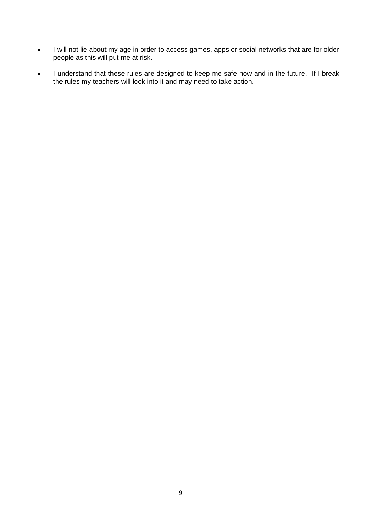- I will not lie about my age in order to access games, apps or social networks that are for older people as this will put me at risk.
- I understand that these rules are designed to keep me safe now and in the future. If I break the rules my teachers will look into it and may need to take action.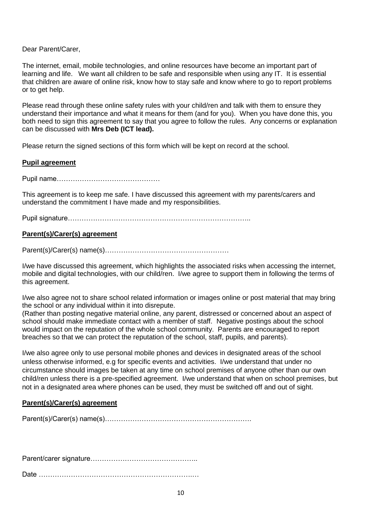Dear Parent/Carer,

The internet, email, mobile technologies, and online resources have become an important part of learning and life. We want all children to be safe and responsible when using any IT. It is essential that children are aware of online risk, know how to stay safe and know where to go to report problems or to get help.

Please read through these online safety rules with your child/ren and talk with them to ensure they understand their importance and what it means for them (and for you). When you have done this, you both need to sign this agreement to say that you agree to follow the rules. Any concerns or explanation can be discussed with **Mrs Deb (ICT lead).**

Please return the signed sections of this form which will be kept on record at the school.

#### **Pupil agreement**

Pupil name………………………………………

This agreement is to keep me safe. I have discussed this agreement with my parents/carers and understand the commitment I have made and my responsibilities.

Pupil signature……………………………………………………………………..

#### **Parent(s)/Carer(s) agreement**

Parent(s)/Carer(s) name(s)………………………………………………

I/we have discussed this agreement, which highlights the associated risks when accessing the internet, mobile and digital technologies, with our child/ren. I/we agree to support them in following the terms of this agreement.

I/we also agree not to share school related information or images online or post material that may bring the school or any individual within it into disrepute.

(Rather than posting negative material online, any parent, distressed or concerned about an aspect of school should make immediate contact with a member of staff. Negative postings about the school would impact on the reputation of the whole school community. Parents are encouraged to report breaches so that we can protect the reputation of the school, staff, pupils, and parents).

I/we also agree only to use personal mobile phones and devices in designated areas of the school unless otherwise informed, e.g for specific events and activities. I/we understand that under no circumstance should images be taken at any time on school premises of anyone other than our own child/ren unless there is a pre-specified agreement. I/we understand that when on school premises, but not in a designated area where phones can be used, they must be switched off and out of sight.

#### **Parent(s)/Carer(s) agreement**

Parent(s)/Carer(s) name(s)……………………………………………………….

Parent/carer signature………………………………………..

Date ………………………………………………………….…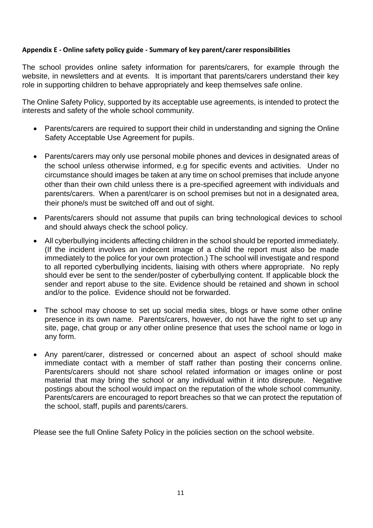# <span id="page-21-0"></span>**Appendix E - Online safety policy guide - Summary of key parent/carer responsibilities**

The school provides online safety information for parents/carers, for example through the website, in newsletters and at events. It is important that parents/carers understand their key role in supporting children to behave appropriately and keep themselves safe online.

The Online Safety Policy, supported by its acceptable use agreements, is intended to protect the interests and safety of the whole school community.

- Parents/carers are required to support their child in understanding and signing the Online Safety Acceptable Use Agreement for pupils.
- Parents/carers may only use personal mobile phones and devices in designated areas of the school unless otherwise informed, e.g for specific events and activities. Under no circumstance should images be taken at any time on school premises that include anyone other than their own child unless there is a pre-specified agreement with individuals and parents/carers. When a parent/carer is on school premises but not in a designated area, their phone/s must be switched off and out of sight.
- Parents/carers should not assume that pupils can bring technological devices to school and should always check the school policy.
- All cyberbullying incidents affecting children in the school should be reported immediately. (If the incident involves an indecent image of a child the report must also be made immediately to the police for your own protection.) The school will investigate and respond to all reported cyberbullying incidents, liaising with others where appropriate. No reply should ever be sent to the sender/poster of cyberbullying content. If applicable block the sender and report abuse to the site. Evidence should be retained and shown in school and/or to the police. Evidence should not be forwarded.
- The school may choose to set up social media sites, blogs or have some other online presence in its own name. Parents/carers, however, do not have the right to set up any site, page, chat group or any other online presence that uses the school name or logo in any form.
- Any parent/carer, distressed or concerned about an aspect of school should make immediate contact with a member of staff rather than posting their concerns online. Parents/carers should not share school related information or images online or post material that may bring the school or any individual within it into disrepute. Negative postings about the school would impact on the reputation of the whole school community. Parents/carers are encouraged to report breaches so that we can protect the reputation of the school, staff, pupils and parents/carers.

Please see the full Online Safety Policy in the policies section on the school website.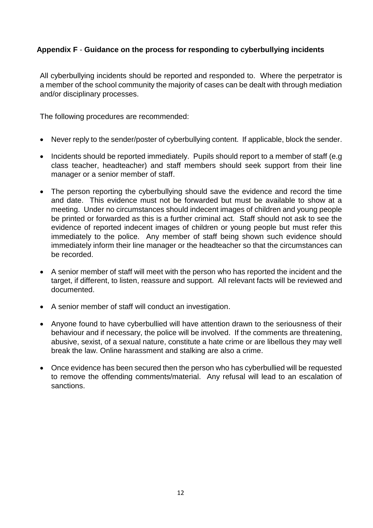# <span id="page-22-0"></span>**Appendix F** - **Guidance on the process for responding to cyberbullying incidents**

All cyberbullying incidents should be reported and responded to. Where the perpetrator is a member of the school community the majority of cases can be dealt with through mediation and/or disciplinary processes.

The following procedures are recommended:

- Never reply to the sender/poster of cyberbullying content. If applicable, block the sender.
- Incidents should be reported immediately. Pupils should report to a member of staff (e.g. class teacher, headteacher) and staff members should seek support from their line manager or a senior member of staff.
- The person reporting the cyberbullying should save the evidence and record the time and date. This evidence must not be forwarded but must be available to show at a meeting. Under no circumstances should indecent images of children and young people be printed or forwarded as this is a further criminal act. Staff should not ask to see the evidence of reported indecent images of children or young people but must refer this immediately to the police. Any member of staff being shown such evidence should immediately inform their line manager or the headteacher so that the circumstances can be recorded.
- A senior member of staff will meet with the person who has reported the incident and the target, if different, to listen, reassure and support. All relevant facts will be reviewed and documented.
- A senior member of staff will conduct an investigation.
- Anyone found to have cyberbullied will have attention drawn to the seriousness of their behaviour and if necessary, the police will be involved. If the comments are threatening, abusive, sexist, of a sexual nature, constitute a hate crime or are libellous they may well break the law. Online harassment and stalking are also a crime.
- Once evidence has been secured then the person who has cyberbullied will be requested to remove the offending comments/material. Any refusal will lead to an escalation of sanctions.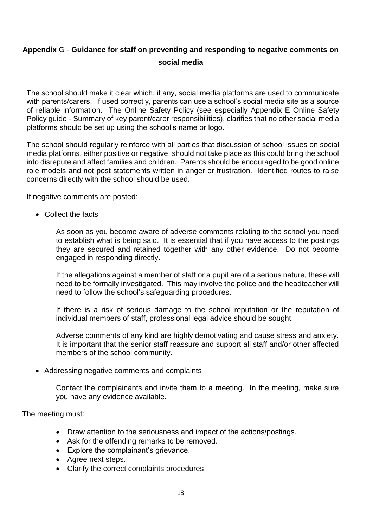# <span id="page-23-0"></span>**Appendix** G - **Guidance for staff on preventing and responding to negative comments on social media**

The school should make it clear which, if any, social media platforms are used to communicate with parents/carers. If used correctly, parents can use a school's social media site as a source of reliable information. The Online Safety Policy (see especially Appendix E Online Safety Policy guide - Summary of key parent/carer responsibilities), clarifies that no other social media platforms should be set up using the school's name or logo.

The school should regularly reinforce with all parties that discussion of school issues on social media platforms, either positive or negative, should not take place as this could bring the school into disrepute and affect families and children. Parents should be encouraged to be good online role models and not post statements written in anger or frustration. Identified routes to raise concerns directly with the school should be used.

If negative comments are posted:

• Collect the facts

As soon as you become aware of adverse comments relating to the school you need to establish what is being said. It is essential that if you have access to the postings they are secured and retained together with any other evidence. Do not become engaged in responding directly.

If the allegations against a member of staff or a pupil are of a serious nature, these will need to be formally investigated. This may involve the police and the headteacher will need to follow the school's safeguarding procedures.

If there is a risk of serious damage to the school reputation or the reputation of individual members of staff, professional legal advice should be sought.

Adverse comments of any kind are highly demotivating and cause stress and anxiety. It is important that the senior staff reassure and support all staff and/or other affected members of the school community.

• Addressing negative comments and complaints

Contact the complainants and invite them to a meeting. In the meeting, make sure you have any evidence available.

The meeting must:

- Draw attention to the seriousness and impact of the actions/postings.
- Ask for the offending remarks to be removed.
- Explore the complainant's grievance.
- Agree next steps.
- Clarify the correct complaints procedures.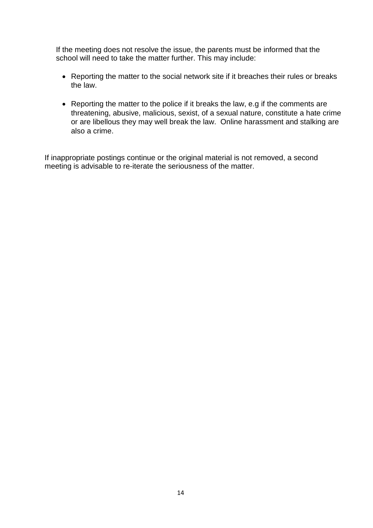If the meeting does not resolve the issue, the parents must be informed that the school will need to take the matter further. This may include:

- Reporting the matter to the social network site if it breaches their rules or breaks the law.
- Reporting the matter to the police if it breaks the law, e.g if the comments are threatening, abusive, malicious, sexist, of a sexual nature, constitute a hate crime or are libellous they may well break the law. Online harassment and stalking are also a crime.

If inappropriate postings continue or the original material is not removed, a second meeting is advisable to re-iterate the seriousness of the matter.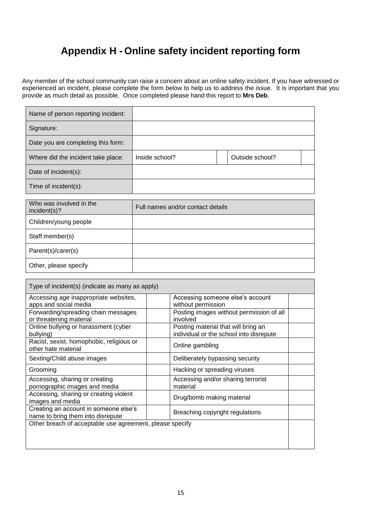# **Appendix H - Online safety incident reporting form**

<span id="page-25-0"></span>Any member of the school community can raise a concern about an online safety incident. If you have witnessed or experienced an incident, please complete the form below to help us to address the issue. It is important that you provide as much detail as possible. Once completed please hand this report to **Mrs Deb**.

| Name of person reporting incident: |                |                 |
|------------------------------------|----------------|-----------------|
| Signature:                         |                |                 |
| Date you are completing this form: |                |                 |
| Where did the incident take place: | Inside school? | Outside school? |
| Date of incident(s):               |                |                 |
| Time of incident(s):               |                |                 |

| Who was involved in the<br>incident(s)? | Full names and/or contact details |
|-----------------------------------------|-----------------------------------|
| Children/young people                   |                                   |
| Staff member(s)                         |                                   |
| Parent(s)/carer(s)                      |                                   |
| Other, please specify                   |                                   |

| Type of incident(s) (indicate as many as apply)                                                               |                                                                                |  |
|---------------------------------------------------------------------------------------------------------------|--------------------------------------------------------------------------------|--|
| Accessing age inappropriate websites,<br>apps and social media                                                | Accessing someone else's account<br>without permission                         |  |
| Forwarding/spreading chain messages<br>or threatening material                                                | Posting images without permission of all<br>involved                           |  |
| Online bullying or harassment (cyber<br>bullying)                                                             | Posting material that will bring an<br>individual or the school into disrepute |  |
| Racist, sexist, homophobic, religious or<br>other hate material                                               | Online gambling                                                                |  |
| Sexting/Child abuse images                                                                                    | Deliberately bypassing security                                                |  |
| Grooming                                                                                                      | Hacking or spreading viruses                                                   |  |
| Accessing, sharing or creating<br>pornographic images and media                                               | Accessing and/or sharing terrorist<br>material                                 |  |
| Accessing, sharing or creating violent<br>images and media                                                    | Drug/bomb making material                                                      |  |
| Creating an account in someone else's<br>Breaching copyright regulations<br>name to bring them into disrepute |                                                                                |  |
| Other breach of acceptable use agreement, please specify                                                      |                                                                                |  |
|                                                                                                               |                                                                                |  |
|                                                                                                               |                                                                                |  |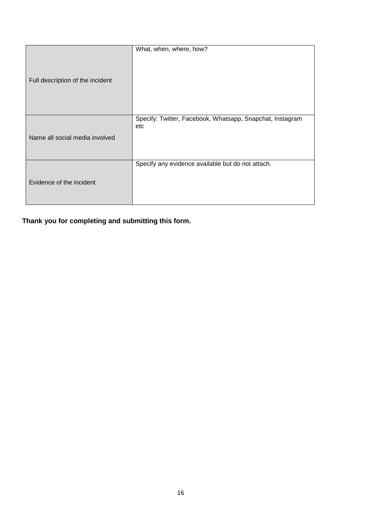| Full description of the incident | What, when, where, how?                                          |
|----------------------------------|------------------------------------------------------------------|
| Name all social media involved   | Specify: Twitter, Facebook, Whatsapp, Snapchat, Instagram<br>etc |
| Evidence of the incident         | Specify any evidence available but do not attach.                |

**Thank you for completing and submitting this form.**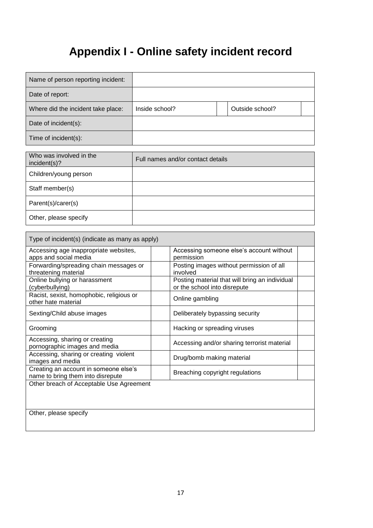# **Appendix I - Online safety incident record**

<span id="page-27-0"></span>

| Name of person reporting incident: |                |                 |
|------------------------------------|----------------|-----------------|
| Date of report:                    |                |                 |
| Where did the incident take place: | Inside school? | Outside school? |
| Date of incident(s):               |                |                 |
| Time of incident(s):               |                |                 |

| Who was involved in the<br>incident(s)? | Full names and/or contact details |
|-----------------------------------------|-----------------------------------|
| Children/young person                   |                                   |
| Staff member(s)                         |                                   |
| Parent(s)/carer(s)                      |                                   |
| Other, please specify                   |                                   |

| Type of incident(s) (indicate as many as apply)                            |                                                                                |  |
|----------------------------------------------------------------------------|--------------------------------------------------------------------------------|--|
| Accessing age inappropriate websites,<br>apps and social media             | Accessing someone else's account without<br>permission                         |  |
| Forwarding/spreading chain messages or<br>threatening material             | Posting images without permission of all<br>involved                           |  |
| Online bullying or harassment<br>(cyberbullying)                           | Posting material that will bring an individual<br>or the school into disrepute |  |
| Racist, sexist, homophobic, religious or<br>other hate material            | Online gambling                                                                |  |
| Sexting/Child abuse images                                                 | Deliberately bypassing security                                                |  |
| Grooming                                                                   | Hacking or spreading viruses                                                   |  |
| Accessing, sharing or creating<br>pornographic images and media            | Accessing and/or sharing terrorist material                                    |  |
| Accessing, sharing or creating violent<br>images and media                 | Drug/bomb making material                                                      |  |
| Creating an account in someone else's<br>name to bring them into disrepute | Breaching copyright regulations                                                |  |
| Other breach of Acceptable Use Agreement                                   |                                                                                |  |
|                                                                            |                                                                                |  |
| Other, please specify                                                      |                                                                                |  |
|                                                                            |                                                                                |  |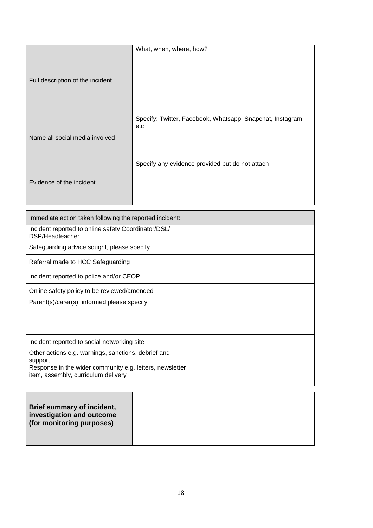| Full description of the incident | What, when, where, how?                                   |
|----------------------------------|-----------------------------------------------------------|
|                                  | Specify: Twitter, Facebook, Whatsapp, Snapchat, Instagram |
| Name all social media involved   | etc                                                       |
| Evidence of the incident         | Specify any evidence provided but do not attach           |

| Immediate action taken following the reported incident:                                         |  |  |  |  |
|-------------------------------------------------------------------------------------------------|--|--|--|--|
| Incident reported to online safety Coordinator/DSL/<br>DSP/Headteacher                          |  |  |  |  |
| Safeguarding advice sought, please specify                                                      |  |  |  |  |
| Referral made to HCC Safeguarding                                                               |  |  |  |  |
| Incident reported to police and/or CEOP                                                         |  |  |  |  |
| Online safety policy to be reviewed/amended                                                     |  |  |  |  |
| Parent(s)/carer(s) informed please specify                                                      |  |  |  |  |
| Incident reported to social networking site                                                     |  |  |  |  |
| Other actions e.g. warnings, sanctions, debrief and<br>support                                  |  |  |  |  |
| Response in the wider community e.g. letters, newsletter<br>item, assembly, curriculum delivery |  |  |  |  |

| <b>Brief summary of incident,</b><br>investigation and outcome<br>(for monitoring purposes) |  |
|---------------------------------------------------------------------------------------------|--|
|---------------------------------------------------------------------------------------------|--|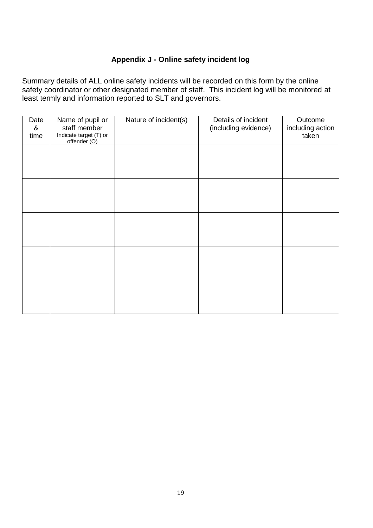# **Appendix J - Online safety incident log**

<span id="page-29-0"></span>Summary details of ALL online safety incidents will be recorded on this form by the online safety coordinator or other designated member of staff. This incident log will be monitored at least termly and information reported to SLT and governors.

| Date<br>&<br>time | Name of pupil or<br>staff member<br>Indicate target (T) or<br>offender (O) | Nature of incident(s) | Details of incident<br>(including evidence) | Outcome<br>including action<br>taken |
|-------------------|----------------------------------------------------------------------------|-----------------------|---------------------------------------------|--------------------------------------|
|                   |                                                                            |                       |                                             |                                      |
|                   |                                                                            |                       |                                             |                                      |
|                   |                                                                            |                       |                                             |                                      |
|                   |                                                                            |                       |                                             |                                      |
|                   |                                                                            |                       |                                             |                                      |